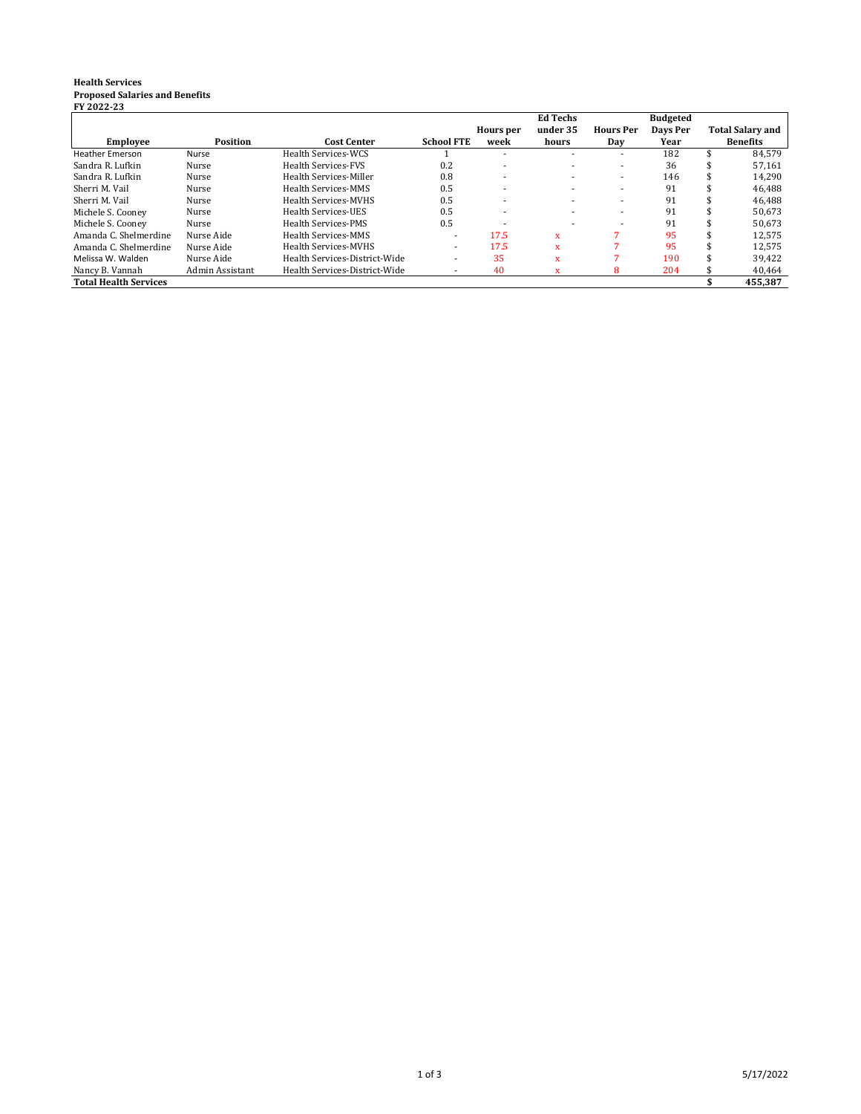## **Health Services Proposed Salaries and Benefits FY 2022-23**

|                              |                 |                               |                   |                          | <b>Ed Techs</b>          |                          | <b>Budgeted</b> |                         |
|------------------------------|-----------------|-------------------------------|-------------------|--------------------------|--------------------------|--------------------------|-----------------|-------------------------|
|                              |                 |                               |                   | Hours per                | under 35                 | <b>Hours Per</b>         | Days Per        | <b>Total Salary and</b> |
| <b>Employee</b>              | <b>Position</b> | <b>Cost Center</b>            | <b>School FTE</b> | week                     | hours                    | Day                      | Year            | <b>Benefits</b>         |
| <b>Heather Emerson</b>       | Nurse           | Health Services-WCS           |                   |                          |                          |                          | 182             | 84.579                  |
| Sandra R. Lufkin             | Nurse           | <b>Health Services-FVS</b>    | 0.2               | $\overline{\phantom{0}}$ | $\sim$                   | $\overline{\phantom{a}}$ | 36              | 57.161                  |
| Sandra R. Lufkin             | Nurse           | Health Services-Miller        | 0.8               |                          |                          |                          | 146             | 14,290                  |
| Sherri M. Vail               | Nurse           | Health Services-MMS           | 0.5               | $\overline{\phantom{0}}$ |                          | $\overline{\phantom{a}}$ | 91              | 46.488                  |
| Sherri M. Vail               | Nurse           | <b>Health Services-MVHS</b>   | 0.5               |                          | $\overline{\phantom{a}}$ | $\overline{\phantom{a}}$ | 91              | 46,488                  |
| Michele S. Cooney            | Nurse           | Health Services-UES           | 0.5               |                          | $\overline{\phantom{a}}$ | $\overline{\phantom{a}}$ | 91              | 50.673                  |
| Michele S. Cooney            | Nurse           | Health Services-PMS           | 0.5               |                          |                          |                          | 91              | 50.673                  |
| Amanda C. Shelmerdine        | Nurse Aide      | Health Services-MMS           |                   | 17.5                     | $\mathbf{x}$             |                          | 95              | 12.575                  |
| Amanda C. Shelmerdine        | Nurse Aide      | <b>Health Services-MVHS</b>   | ۰.                | 17.5                     | $\mathbf{x}$             |                          | 95              | 12,575                  |
| Melissa W. Walden            | Nurse Aide      | Health Services-District-Wide | -                 | 35                       | $\mathbf{x}$             |                          | 190             | 39.422                  |
| Nancy B. Vannah              | Admin Assistant | Health Services-District-Wide |                   | 40                       | X                        | 8                        | 204             | 40,464                  |
| <b>Total Health Services</b> |                 |                               |                   |                          |                          |                          |                 | 455.387                 |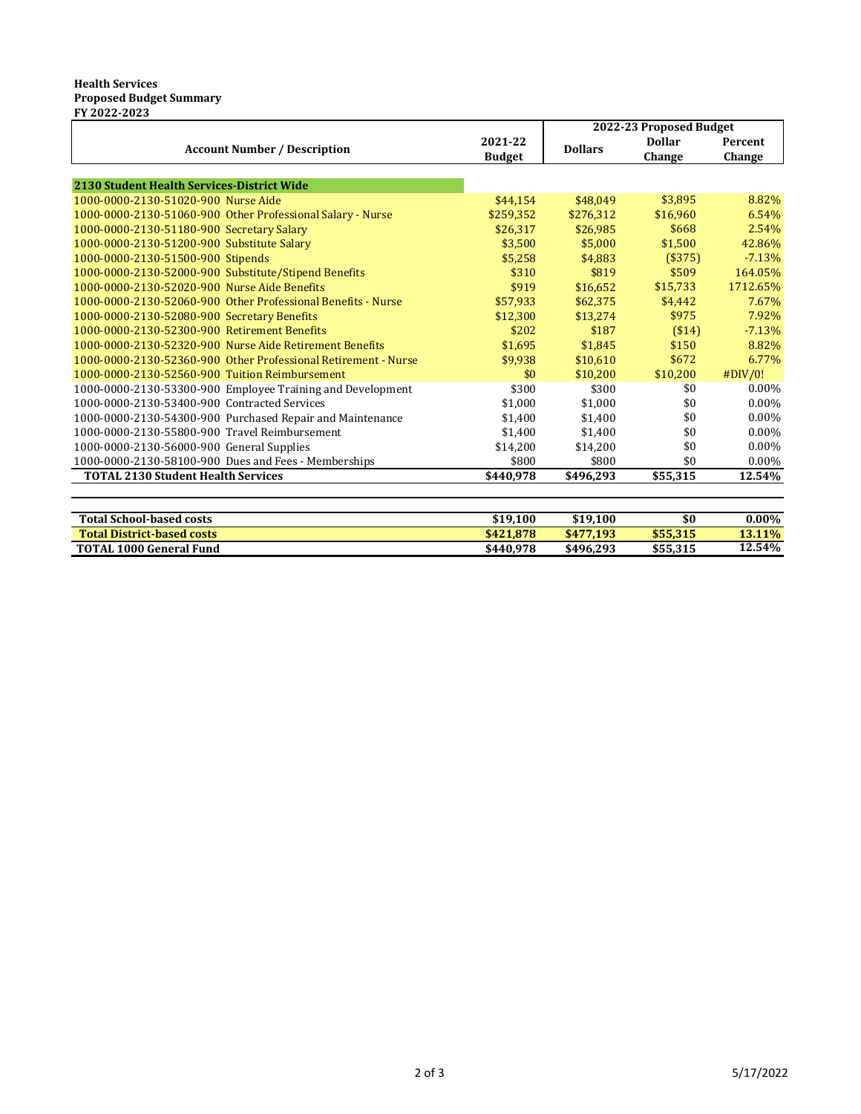## **Health Services Proposed Budget Summary FY 2022-2023**

|                                                                |               | 2022-23 Proposed Budget |               |                |
|----------------------------------------------------------------|---------------|-------------------------|---------------|----------------|
| <b>Account Number / Description</b>                            | 2021-22       | <b>Dollars</b>          | <b>Dollar</b> | <b>Percent</b> |
|                                                                | <b>Budget</b> |                         | Change        | Change         |
|                                                                |               |                         |               |                |
| 2130 Student Health Services-District Wide                     |               |                         |               |                |
| 1000-0000-2130-51020-900 Nurse Aide                            | \$44,154      | \$48,049                | \$3.895       | 8.82%          |
| 1000-0000-2130-51060-900 Other Professional Salary - Nurse     | \$259,352     | \$276,312               | \$16,960      | 6.54%          |
| 1000-0000-2130-51180-900 Secretary Salary                      | \$26,317      | \$26,985                | \$668         | 2.54%          |
| 1000-0000-2130-51200-900 Substitute Salary                     | \$3,500       | \$5,000                 | \$1,500       | 42.86%         |
| 1000-0000-2130-51500-900 Stipends                              | \$5,258       | \$4,883                 | (\$375)       | $-7.13%$       |
| 1000-0000-2130-52000-900 Substitute/Stipend Benefits           | \$310         | \$819                   | \$509         | 164.05%        |
| 1000-0000-2130-52020-900 Nurse Aide Benefits                   | \$919         | \$16,652                | \$15,733      | 1712.65%       |
| 1000-0000-2130-52060-900 Other Professional Benefits - Nurse   | \$57,933      | \$62,375                | \$4.442       | 7.67%          |
| 1000-0000-2130-52080-900 Secretary Benefits                    | \$12,300      | \$13,274                | \$975         | 7.92%          |
| 1000-0000-2130-52300-900 Retirement Benefits                   | \$202         | \$187                   | ( \$14)       | $-7.13%$       |
| 1000-0000-2130-52320-900 Nurse Aide Retirement Benefits        | \$1,695       | \$1,845                 | \$150         | 8.82%          |
| 1000-0000-2130-52360-900 Other Professional Retirement - Nurse | \$9,938       | \$10,610                | \$672         | 6.77%          |
| 1000-0000-2130-52560-900 Tuition Reimbursement                 | \$0           | \$10.200                | \$10,200      | #DIV/0!        |
| 1000-0000-2130-53300-900 Employee Training and Development     | \$300         | \$300                   | \$0           | $0.00\%$       |
| 1000-0000-2130-53400-900 Contracted Services                   | \$1,000       | \$1.000                 | \$0           | $0.00\%$       |
| 1000-0000-2130-54300-900 Purchased Repair and Maintenance      | \$1,400       | \$1,400                 | \$0           | $0.00\%$       |
| 1000-0000-2130-55800-900 Travel Reimbursement                  | \$1,400       | \$1,400                 | \$0           | $0.00\%$       |
| 1000-0000-2130-56000-900 General Supplies                      | \$14,200      | \$14,200                | \$0           | $0.00\%$       |
| 1000-0000-2130-58100-900 Dues and Fees - Memberships           | \$800         | \$800                   | \$0           | 0.00%          |
| <b>TOTAL 2130 Student Health Services</b>                      | \$440,978     | \$496,293               | \$55,315      | 12.54%         |
|                                                                |               |                         |               |                |
|                                                                |               |                         |               |                |

| <b>Total School-based costs</b>   | \$19,100  | \$19,100        | \$0      | $0.00\%$  |
|-----------------------------------|-----------|-----------------|----------|-----------|
| <b>Total District-based costs</b> | \$421.878 | 7.193<br>\$477. | \$55.315 | $-3.11\%$ |
| <b>TOTAL 1000 General Fund</b>    | \$440.978 | \$496.293       | \$55,315 | 12.54%    |